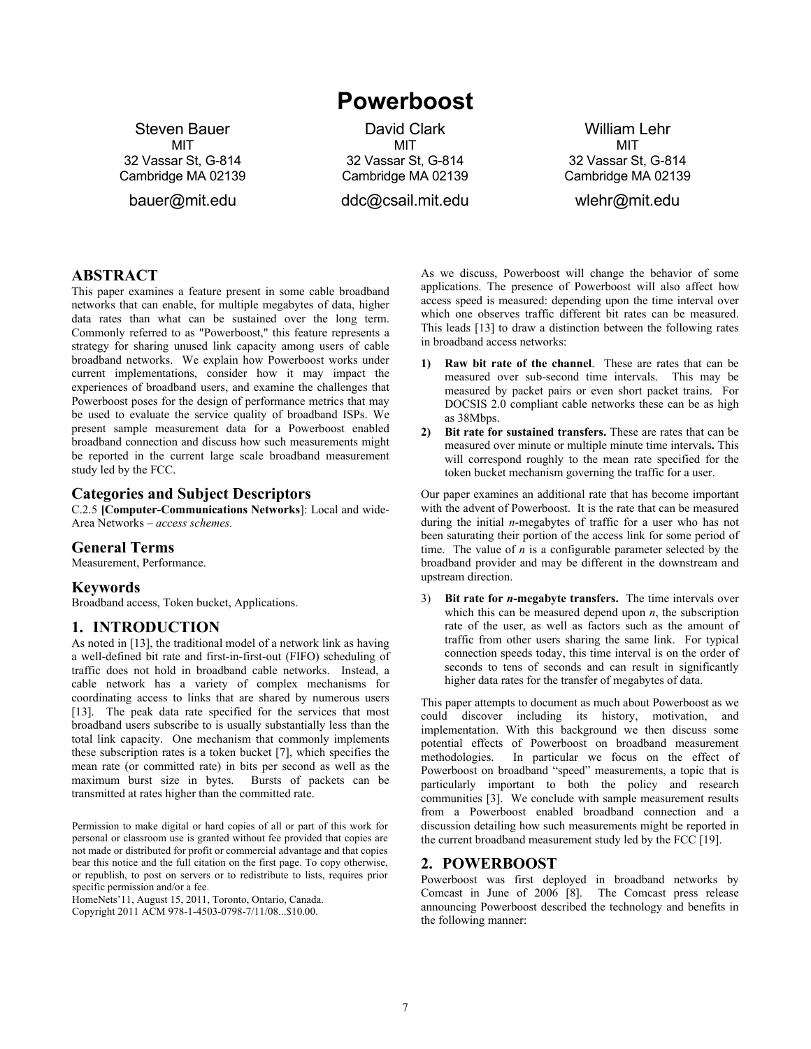# **Powerboost**

Steven Bauer **MIT** 32 Vassar St, G-814 Cambridge MA 02139

bauer@mit.edu

David Clark MIT 32 Vassar St, G-814 Cambridge MA 02139

ddc@csail.mit.edu

William Lehr **MIT** 32 Vassar St, G-814 Cambridge MA 02139

wlehr@mit.edu

# **ABSTRACT**

This paper examines a feature present in some cable broadband networks that can enable, for multiple megabytes of data, higher data rates than what can be sustained over the long term. Commonly referred to as "Powerboost," this feature represents a strategy for sharing unused link capacity among users of cable broadband networks. We explain how Powerboost works under current implementations, consider how it may impact the experiences of broadband users, and examine the challenges that Powerboost poses for the design of performance metrics that may be used to evaluate the service quality of broadband ISPs. We present sample measurement data for a Powerboost enabled broadband connection and discuss how such measurements might be reported in the current large scale broadband measurement study led by the FCC.

## **Categories and Subject Descriptors**

C.2.5 **[Computer-Communications Networks**]: Local and wide-Area Networks – *access schemes.* 

#### **General Terms**

Measurement, Performance.

#### **Keywords**

Broadband access, Token bucket, Applications.

## **1. INTRODUCTION**

As noted in [13], the traditional model of a network link as having a well-defined bit rate and first-in-first-out (FIFO) scheduling of traffic does not hold in broadband cable networks. Instead, a cable network has a variety of complex mechanisms for coordinating access to links that are shared by numerous users [13]. The peak data rate specified for the services that most broadband users subscribe to is usually substantially less than the total link capacity. One mechanism that commonly implements these subscription rates is a token bucket [7], which specifies the mean rate (or committed rate) in bits per second as well as the maximum burst size in bytes. Bursts of packets can be transmitted at rates higher than the committed rate.

Permission to make digital or hard copies of all or part of this work for personal or classroom use is granted without fee provided that copies are not made or distributed for profit or commercial advantage and that copies bear this notice and the full citation on the first page. To copy otherwise, or republish, to post on servers or to redistribute to lists, requires prior specific permission and/or a fee.

HomeNets'11, August 15, 2011, Toronto, Ontario, Canada.

Copyright 2011 ACM 978-1-4503-0798-7/11/08...\$10.00.

As we discuss, Powerboost will change the behavior of some applications. The presence of Powerboost will also affect how access speed is measured: depending upon the time interval over which one observes traffic different bit rates can be measured. This leads [13] to draw a distinction between the following rates in broadband access networks:

- **1) Raw bit rate of the channel**. These are rates that can be measured over sub-second time intervals. This may be measured by packet pairs or even short packet trains. For DOCSIS 2.0 compliant cable networks these can be as high as 38Mbps.
- **2) Bit rate for sustained transfers.** These are rates that can be measured over minute or multiple minute time intervals**.** This will correspond roughly to the mean rate specified for the token bucket mechanism governing the traffic for a user.

Our paper examines an additional rate that has become important with the advent of Powerboost. It is the rate that can be measured during the initial *n*-megabytes of traffic for a user who has not been saturating their portion of the access link for some period of time. The value of  $n$  is a configurable parameter selected by the broadband provider and may be different in the downstream and upstream direction.

3) **Bit rate for** *n***-megabyte transfers.** The time intervals over which this can be measured depend upon *n*, the subscription rate of the user, as well as factors such as the amount of traffic from other users sharing the same link. For typical connection speeds today, this time interval is on the order of seconds to tens of seconds and can result in significantly higher data rates for the transfer of megabytes of data.

This paper attempts to document as much about Powerboost as we could discover including its history, motivation, and implementation. With this background we then discuss some potential effects of Powerboost on broadband measurement methodologies. In particular we focus on the effect of Powerboost on broadband "speed" measurements, a topic that is particularly important to both the policy and research communities [3]. We conclude with sample measurement results from a Powerboost enabled broadband connection and a discussion detailing how such measurements might be reported in the current broadband measurement study led by the FCC [19].

## **2. POWERBOOST**

Powerboost was first deployed in broadband networks by Comcast in June of 2006 [8]. The Comcast press release announcing Powerboost described the technology and benefits in the following manner: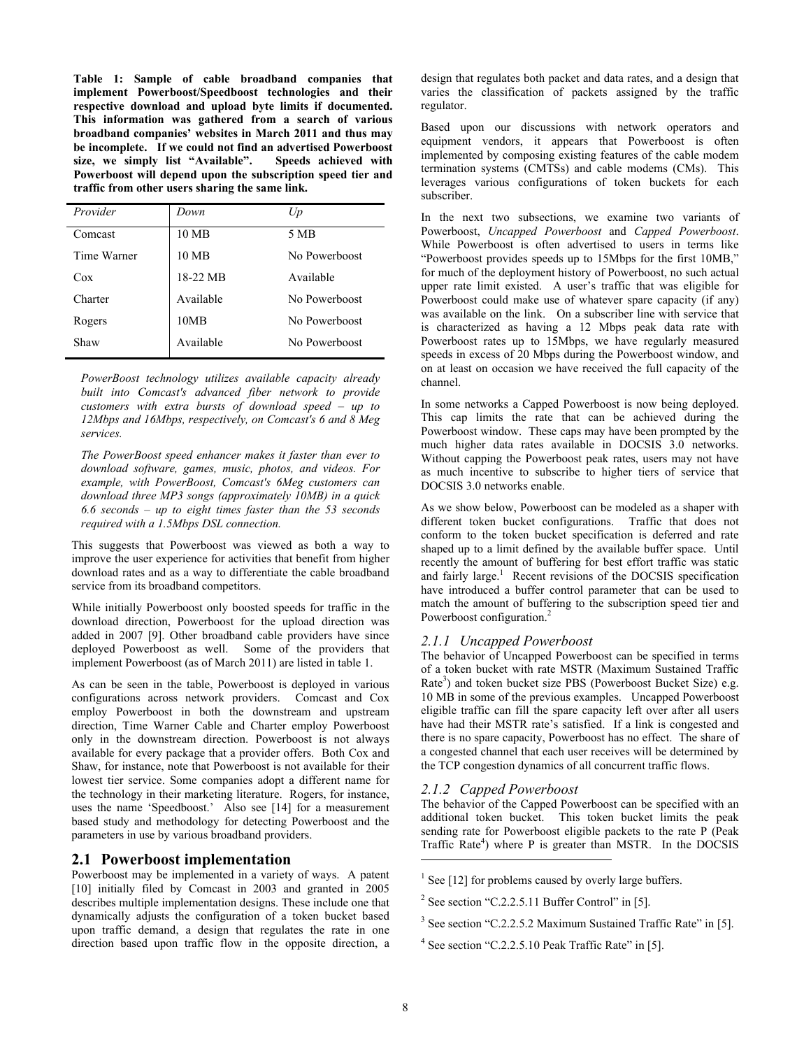**Table 1: Sample of cable broadband companies that implement Powerboost/Speedboost technologies and their respective download and upload byte limits if documented. This information was gathered from a search of various broadband companies' websites in March 2011 and thus may be incomplete. If we could not find an advertised Powerboost size, we simply list "Available". Speeds achieved with Powerboost will depend upon the subscription speed tier and traffic from other users sharing the same link.** 

| Provider    | Down      | U p           |  |  |
|-------------|-----------|---------------|--|--|
| Comcast     | 10 MB     | 5 MB          |  |  |
| Time Warner | 10 MB     | No Powerboost |  |  |
| $\cos$      | 18-22 MB  | Available     |  |  |
| Charter     | Available | No Powerboost |  |  |
| Rogers      | 10MB      | No Powerboost |  |  |
| Shaw        | Available | No Powerboost |  |  |

*PowerBoost technology utilizes available capacity already built into Comcast's advanced fiber network to provide customers with extra bursts of download speed – up to 12Mbps and 16Mbps, respectively, on Comcast's 6 and 8 Meg services.* 

*The PowerBoost speed enhancer makes it faster than ever to download software, games, music, photos, and videos. For example, with PowerBoost, Comcast's 6Meg customers can download three MP3 songs (approximately 10MB) in a quick 6.6 seconds – up to eight times faster than the 53 seconds required with a 1.5Mbps DSL connection.* 

This suggests that Powerboost was viewed as both a way to improve the user experience for activities that benefit from higher download rates and as a way to differentiate the cable broadband service from its broadband competitors.

While initially Powerboost only boosted speeds for traffic in the download direction, Powerboost for the upload direction was added in 2007 [9]. Other broadband cable providers have since deployed Powerboost as well. Some of the providers that implement Powerboost (as of March 2011) are listed in table 1.

As can be seen in the table, Powerboost is deployed in various configurations across network providers. Comcast and Cox employ Powerboost in both the downstream and upstream direction, Time Warner Cable and Charter employ Powerboost only in the downstream direction. Powerboost is not always available for every package that a provider offers. Both Cox and Shaw, for instance, note that Powerboost is not available for their lowest tier service. Some companies adopt a different name for the technology in their marketing literature. Rogers, for instance, uses the name 'Speedboost.' Also see [14] for a measurement based study and methodology for detecting Powerboost and the parameters in use by various broadband providers.

## **2.1 Powerboost implementation**

Powerboost may be implemented in a variety of ways. A patent [10] initially filed by Comcast in 2003 and granted in 2005 describes multiple implementation designs. These include one that dynamically adjusts the configuration of a token bucket based upon traffic demand, a design that regulates the rate in one direction based upon traffic flow in the opposite direction, a design that regulates both packet and data rates, and a design that varies the classification of packets assigned by the traffic regulator.

Based upon our discussions with network operators and equipment vendors, it appears that Powerboost is often implemented by composing existing features of the cable modem termination systems (CMTSs) and cable modems (CMs). This leverages various configurations of token buckets for each subscriber.

In the next two subsections, we examine two variants of Powerboost, *Uncapped Powerboost* and *Capped Powerboost*. While Powerboost is often advertised to users in terms like "Powerboost provides speeds up to 15Mbps for the first 10MB," for much of the deployment history of Powerboost, no such actual upper rate limit existed. A user's traffic that was eligible for Powerboost could make use of whatever spare capacity (if any) was available on the link. On a subscriber line with service that is characterized as having a 12 Mbps peak data rate with Powerboost rates up to 15Mbps, we have regularly measured speeds in excess of 20 Mbps during the Powerboost window, and on at least on occasion we have received the full capacity of the channel.

In some networks a Capped Powerboost is now being deployed. This cap limits the rate that can be achieved during the Powerboost window. These caps may have been prompted by the much higher data rates available in DOCSIS 3.0 networks. Without capping the Powerboost peak rates, users may not have as much incentive to subscribe to higher tiers of service that DOCSIS 3.0 networks enable.

As we show below, Powerboost can be modeled as a shaper with different token bucket configurations. Traffic that does not conform to the token bucket specification is deferred and rate shaped up to a limit defined by the available buffer space. Until recently the amount of buffering for best effort traffic was static and fairly large.<sup>1</sup> Recent revisions of the DOCSIS specification have introduced a buffer control parameter that can be used to match the amount of buffering to the subscription speed tier and Powerboost configuration.<sup>2</sup>

## *2.1.1 Uncapped Powerboost*

The behavior of Uncapped Powerboost can be specified in terms of a token bucket with rate MSTR (Maximum Sustained Traffic Rate<sup>3</sup>) and token bucket size PBS (Powerboost Bucket Size) e.g. 10 MB in some of the previous examples. Uncapped Powerboost eligible traffic can fill the spare capacity left over after all users have had their MSTR rate's satisfied. If a link is congested and there is no spare capacity, Powerboost has no effect. The share of a congested channel that each user receives will be determined by the TCP congestion dynamics of all concurrent traffic flows.

#### *2.1.2 Capped Powerboost*

The behavior of the Capped Powerboost can be specified with an additional token bucket. This token bucket limits the peak sending rate for Powerboost eligible packets to the rate P (Peak Traffic Rate<sup>4</sup>) where P is greater than MSTR. In the DOCSIS

- $<sup>1</sup>$  See [12] for problems caused by overly large buffers.</sup>
- <sup>2</sup> See section "C.2.2.5.11 Buffer Control" in [5].
- <sup>3</sup> See section "C.2.2.5.2 Maximum Sustained Traffic Rate" in [5].
- $4$  See section "C.2.2.5.10 Peak Traffic Rate" in [5].

1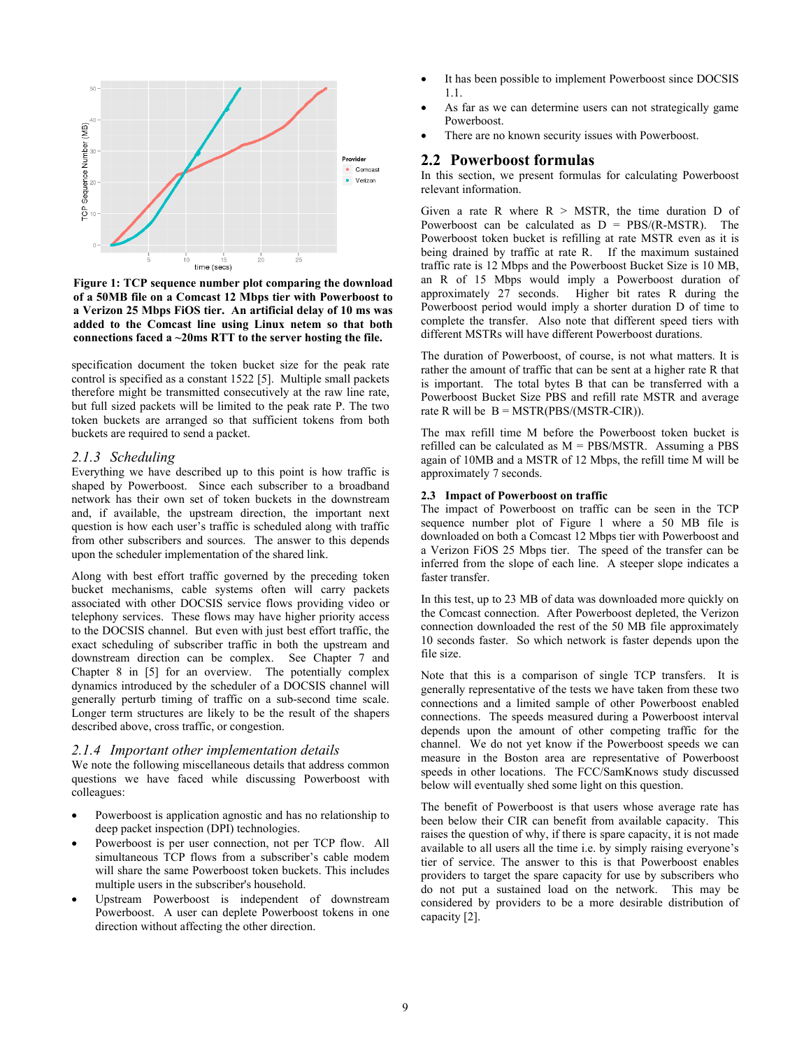

**Figure 1: TCP sequence number plot comparing the download of a 50MB file on a Comcast 12 Mbps tier with Powerboost to a Verizon 25 Mbps FiOS tier. An artificial delay of 10 ms was added to the Comcast line using Linux netem so that both connections faced a ~20ms RTT to the server hosting the file.** 

specification document the token bucket size for the peak rate control is specified as a constant 1522 [5]. Multiple small packets therefore might be transmitted consecutively at the raw line rate, but full sized packets will be limited to the peak rate P. The two token buckets are arranged so that sufficient tokens from both buckets are required to send a packet.

#### *2.1.3 Scheduling*

Everything we have described up to this point is how traffic is shaped by Powerboost. Since each subscriber to a broadband network has their own set of token buckets in the downstream and, if available, the upstream direction, the important next question is how each user's traffic is scheduled along with traffic from other subscribers and sources. The answer to this depends upon the scheduler implementation of the shared link.

Along with best effort traffic governed by the preceding token bucket mechanisms, cable systems often will carry packets associated with other DOCSIS service flows providing video or telephony services. These flows may have higher priority access to the DOCSIS channel. But even with just best effort traffic, the exact scheduling of subscriber traffic in both the upstream and downstream direction can be complex. See Chapter 7 and Chapter 8 in [5] for an overview. The potentially complex dynamics introduced by the scheduler of a DOCSIS channel will generally perturb timing of traffic on a sub-second time scale. Longer term structures are likely to be the result of the shapers described above, cross traffic, or congestion.

#### *2.1.4 Important other implementation details*

We note the following miscellaneous details that address common questions we have faced while discussing Powerboost with colleagues:

- Powerboost is application agnostic and has no relationship to deep packet inspection (DPI) technologies.
- Powerboost is per user connection, not per TCP flow. All simultaneous TCP flows from a subscriber's cable modem will share the same Powerboost token buckets. This includes multiple users in the subscriber's household.
- Upstream Powerboost is independent of downstream Powerboost. A user can deplete Powerboost tokens in one direction without affecting the other direction.
- It has been possible to implement Powerboost since DOCSIS 1.1.
- As far as we can determine users can not strategically game Powerboost.
- There are no known security issues with Powerboost.

#### **2.2 Powerboost formulas**

In this section, we present formulas for calculating Powerboost relevant information.

Given a rate R where  $R > MSTR$ , the time duration D of Powerboost can be calculated as  $D = PBS/(R-MSTR)$ . The Powerboost token bucket is refilling at rate MSTR even as it is being drained by traffic at rate R. If the maximum sustained traffic rate is 12 Mbps and the Powerboost Bucket Size is 10 MB, an R of 15 Mbps would imply a Powerboost duration of approximately 27 seconds. Higher bit rates R during the Powerboost period would imply a shorter duration D of time to complete the transfer. Also note that different speed tiers with different MSTRs will have different Powerboost durations.

The duration of Powerboost, of course, is not what matters. It is rather the amount of traffic that can be sent at a higher rate R that is important. The total bytes B that can be transferred with a Powerboost Bucket Size PBS and refill rate MSTR and average rate R will be  $B = MSTR(PBS/(MSTR-CIR))$ .

The max refill time M before the Powerboost token bucket is refilled can be calculated as M = PBS/MSTR. Assuming a PBS again of 10MB and a MSTR of 12 Mbps, the refill time M will be approximately 7 seconds.

#### **2.3 Impact of Powerboost on traffic**

The impact of Powerboost on traffic can be seen in the TCP sequence number plot of Figure 1 where a 50 MB file is downloaded on both a Comcast 12 Mbps tier with Powerboost and a Verizon FiOS 25 Mbps tier. The speed of the transfer can be inferred from the slope of each line. A steeper slope indicates a faster transfer.

In this test, up to 23 MB of data was downloaded more quickly on the Comcast connection. After Powerboost depleted, the Verizon connection downloaded the rest of the 50 MB file approximately 10 seconds faster. So which network is faster depends upon the file size.

Note that this is a comparison of single TCP transfers. It is generally representative of the tests we have taken from these two connections and a limited sample of other Powerboost enabled connections. The speeds measured during a Powerboost interval depends upon the amount of other competing traffic for the channel. We do not yet know if the Powerboost speeds we can measure in the Boston area are representative of Powerboost speeds in other locations. The FCC/SamKnows study discussed below will eventually shed some light on this question.

The benefit of Powerboost is that users whose average rate has been below their CIR can benefit from available capacity. This raises the question of why, if there is spare capacity, it is not made available to all users all the time i.e. by simply raising everyone's tier of service. The answer to this is that Powerboost enables providers to target the spare capacity for use by subscribers who do not put a sustained load on the network. This may be considered by providers to be a more desirable distribution of capacity [2].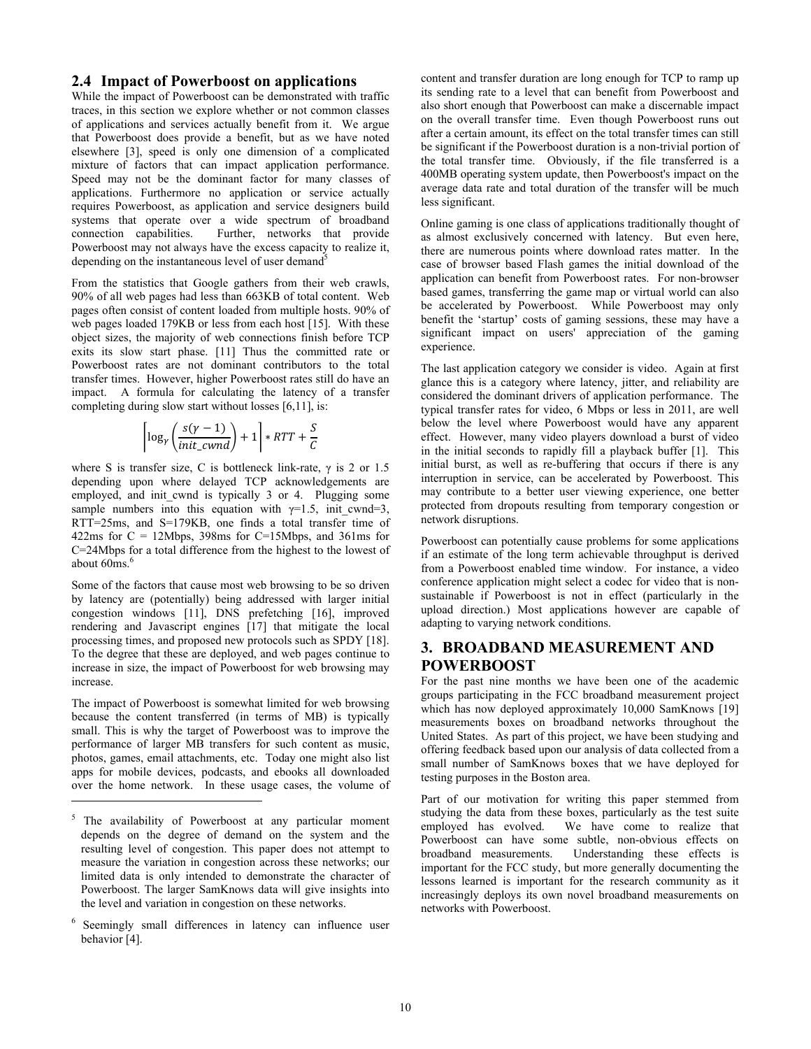## **2.4 Impact of Powerboost on applications**

While the impact of Powerboost can be demonstrated with traffic traces, in this section we explore whether or not common classes of applications and services actually benefit from it. We argue that Powerboost does provide a benefit, but as we have noted elsewhere [3], speed is only one dimension of a complicated mixture of factors that can impact application performance. Speed may not be the dominant factor for many classes of applications. Furthermore no application or service actually requires Powerboost, as application and service designers build systems that operate over a wide spectrum of broadband connection capabilities. Further, networks that provide Powerboost may not always have the excess capacity to realize it, depending on the instantaneous level of user demand<sup>5</sup>

From the statistics that Google gathers from their web crawls, 90% of all web pages had less than 663KB of total content. Web pages often consist of content loaded from multiple hosts. 90% of web pages loaded 179KB or less from each host [15]. With these object sizes, the majority of web connections finish before TCP exits its slow start phase. [11] Thus the committed rate or Powerboost rates are not dominant contributors to the total transfer times. However, higher Powerboost rates still do have an impact. A formula for calculating the latency of a transfer completing during slow start without losses [6,11], is:

$$
\left\lceil \log_{\gamma}\left(\frac{s(\gamma-1)}{init\_cwnd}\right) + 1 \right\rceil * RTT + \frac{S}{C}
$$

where S is transfer size, C is bottleneck link-rate,  $\gamma$  is 2 or 1.5 depending upon where delayed TCP acknowledgements are employed, and init\_cwnd is typically 3 or 4. Plugging some sample numbers into this equation with  $\gamma=1.5$ , init cwnd=3, RTT=25ms, and S=179KB, one finds a total transfer time of 422ms for  $C = 12Mbps$ , 398ms for  $C = 15Mbps$ , and 361ms for C=24Mbps for a total difference from the highest to the lowest of about 60ms.<sup>6</sup>

Some of the factors that cause most web browsing to be so driven by latency are (potentially) being addressed with larger initial congestion windows [11], DNS prefetching [16], improved rendering and Javascript engines [17] that mitigate the local processing times, and proposed new protocols such as SPDY [18]. To the degree that these are deployed, and web pages continue to increase in size, the impact of Powerboost for web browsing may increase.

The impact of Powerboost is somewhat limited for web browsing because the content transferred (in terms of MB) is typically small. This is why the target of Powerboost was to improve the performance of larger MB transfers for such content as music, photos, games, email attachments, etc. Today one might also list apps for mobile devices, podcasts, and ebooks all downloaded over the home network. In these usage cases, the volume of

 $\overline{a}$ 

content and transfer duration are long enough for TCP to ramp up its sending rate to a level that can benefit from Powerboost and also short enough that Powerboost can make a discernable impact on the overall transfer time. Even though Powerboost runs out after a certain amount, its effect on the total transfer times can still be significant if the Powerboost duration is a non-trivial portion of the total transfer time. Obviously, if the file transferred is a 400MB operating system update, then Powerboost's impact on the average data rate and total duration of the transfer will be much less significant.

Online gaming is one class of applications traditionally thought of as almost exclusively concerned with latency. But even here, there are numerous points where download rates matter. In the case of browser based Flash games the initial download of the application can benefit from Powerboost rates. For non-browser based games, transferring the game map or virtual world can also be accelerated by Powerboost. While Powerboost may only benefit the 'startup' costs of gaming sessions, these may have a significant impact on users' appreciation of the gaming experience.

The last application category we consider is video. Again at first glance this is a category where latency, jitter, and reliability are considered the dominant drivers of application performance. The typical transfer rates for video, 6 Mbps or less in 2011, are well below the level where Powerboost would have any apparent effect. However, many video players download a burst of video in the initial seconds to rapidly fill a playback buffer [1]. This initial burst, as well as re-buffering that occurs if there is any interruption in service, can be accelerated by Powerboost. This may contribute to a better user viewing experience, one better protected from dropouts resulting from temporary congestion or network disruptions.

Powerboost can potentially cause problems for some applications if an estimate of the long term achievable throughput is derived from a Powerboost enabled time window. For instance, a video conference application might select a codec for video that is nonsustainable if Powerboost is not in effect (particularly in the upload direction.) Most applications however are capable of adapting to varying network conditions.

# **3. BROADBAND MEASUREMENT AND POWERBOOST**

For the past nine months we have been one of the academic groups participating in the FCC broadband measurement project which has now deployed approximately 10,000 SamKnows [19] measurements boxes on broadband networks throughout the United States. As part of this project, we have been studying and offering feedback based upon our analysis of data collected from a small number of SamKnows boxes that we have deployed for testing purposes in the Boston area.

Part of our motivation for writing this paper stemmed from studying the data from these boxes, particularly as the test suite employed has evolved. We have come to realize that Powerboost can have some subtle, non-obvious effects on broadband measurements. Understanding these effects is important for the FCC study, but more generally documenting the lessons learned is important for the research community as it increasingly deploys its own novel broadband measurements on networks with Powerboost.

<sup>&</sup>lt;sup>5</sup> The availability of Powerboost at any particular moment depends on the degree of demand on the system and the resulting level of congestion. This paper does not attempt to measure the variation in congestion across these networks; our limited data is only intended to demonstrate the character of Powerboost. The larger SamKnows data will give insights into the level and variation in congestion on these networks.

<sup>6</sup> Seemingly small differences in latency can influence user behavior [4].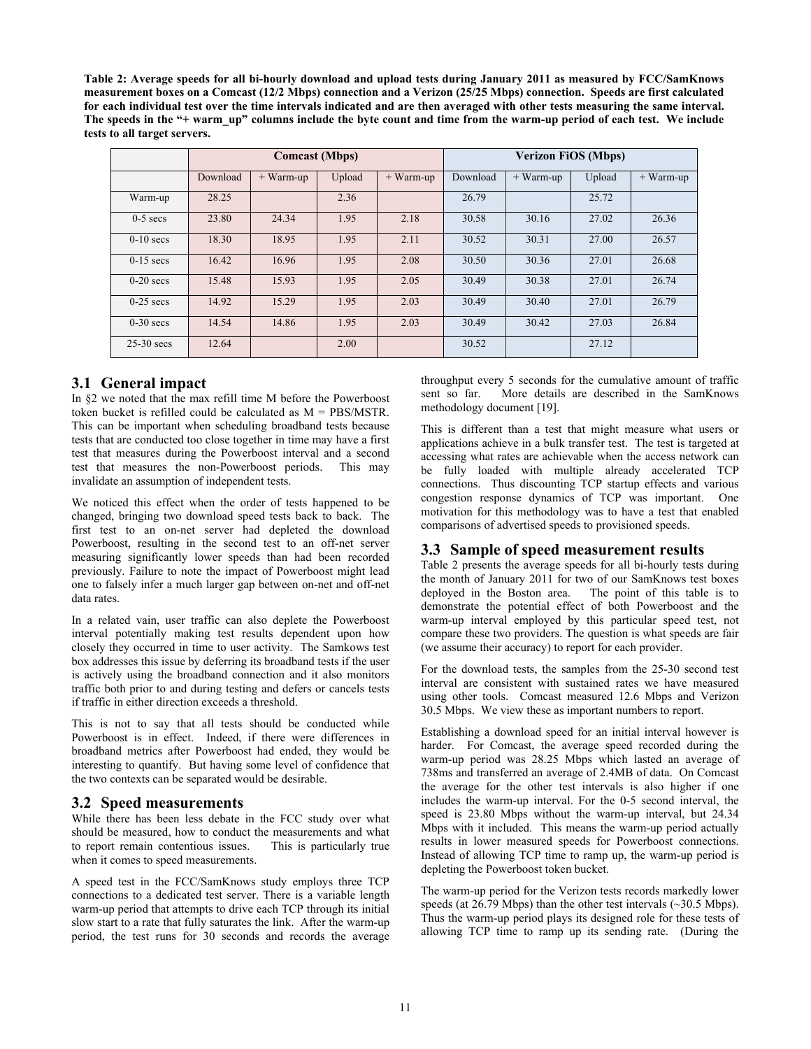**Table 2: Average speeds for all bi-hourly download and upload tests during January 2011 as measured by FCC/SamKnows measurement boxes on a Comcast (12/2 Mbps) connection and a Verizon (25/25 Mbps) connection. Speeds are first calculated for each individual test over the time intervals indicated and are then averaged with other tests measuring the same interval. The speeds in the "+ warm\_up" columns include the byte count and time from the warm-up period of each test. We include tests to all target servers.** 

|              | <b>Comcast</b> (Mbps) |             |        |             | <b>Verizon FiOS (Mbps)</b> |             |        |             |
|--------------|-----------------------|-------------|--------|-------------|----------------------------|-------------|--------|-------------|
|              | Download              | $+$ Warm-up | Upload | $+$ Warm-up | Download                   | $+$ Warm-up | Upload | $+$ Warm-up |
| Warm-up      | 28.25                 |             | 2.36   |             | 26.79                      |             | 25.72  |             |
| $0-5$ secs   | 23.80                 | 24.34       | 1.95   | 2.18        | 30.58                      | 30.16       | 27.02  | 26.36       |
| $0-10$ secs  | 18.30                 | 18.95       | 1.95   | 2.11        | 30.52                      | 30.31       | 27.00  | 26.57       |
| $0-15$ secs  | 16.42                 | 16.96       | 1.95   | 2.08        | 30.50                      | 30.36       | 27.01  | 26.68       |
| $0-20$ secs  | 15.48                 | 15.93       | 1.95   | 2.05        | 30.49                      | 30.38       | 27.01  | 26.74       |
| $0-25$ secs  | 14.92                 | 15.29       | 1.95   | 2.03        | 30.49                      | 30.40       | 27.01  | 26.79       |
| $0-30$ secs  | 14.54                 | 14.86       | 1.95   | 2.03        | 30.49                      | 30.42       | 27.03  | 26.84       |
| $25-30$ secs | 12.64                 |             | 2.00   |             | 30.52                      |             | 27.12  |             |

## **3.1 General impact**

In §2 we noted that the max refill time M before the Powerboost token bucket is refilled could be calculated as M = PBS/MSTR. This can be important when scheduling broadband tests because tests that are conducted too close together in time may have a first test that measures during the Powerboost interval and a second test that measures the non-Powerboost periods. This may invalidate an assumption of independent tests.

We noticed this effect when the order of tests happened to be changed, bringing two download speed tests back to back. The first test to an on-net server had depleted the download Powerboost, resulting in the second test to an off-net server measuring significantly lower speeds than had been recorded previously. Failure to note the impact of Powerboost might lead one to falsely infer a much larger gap between on-net and off-net data rates.

In a related vain, user traffic can also deplete the Powerboost interval potentially making test results dependent upon how closely they occurred in time to user activity. The Samkows test box addresses this issue by deferring its broadband tests if the user is actively using the broadband connection and it also monitors traffic both prior to and during testing and defers or cancels tests if traffic in either direction exceeds a threshold.

This is not to say that all tests should be conducted while Powerboost is in effect. Indeed, if there were differences in broadband metrics after Powerboost had ended, they would be interesting to quantify. But having some level of confidence that the two contexts can be separated would be desirable.

## **3.2 Speed measurements**

While there has been less debate in the FCC study over what should be measured, how to conduct the measurements and what to report remain contentious issues. This is particularly true when it comes to speed measurements.

A speed test in the FCC/SamKnows study employs three TCP connections to a dedicated test server. There is a variable length warm-up period that attempts to drive each TCP through its initial slow start to a rate that fully saturates the link. After the warm-up period, the test runs for 30 seconds and records the average throughput every 5 seconds for the cumulative amount of traffic sent so far. More details are described in the SamKnows methodology document [19].

This is different than a test that might measure what users or applications achieve in a bulk transfer test. The test is targeted at accessing what rates are achievable when the access network can be fully loaded with multiple already accelerated TCP connections. Thus discounting TCP startup effects and various congestion response dynamics of TCP was important. One motivation for this methodology was to have a test that enabled comparisons of advertised speeds to provisioned speeds.

## **3.3 Sample of speed measurement results**

Table 2 presents the average speeds for all bi-hourly tests during the month of January 2011 for two of our SamKnows test boxes deployed in the Boston area. The point of this table is to demonstrate the potential effect of both Powerboost and the warm-up interval employed by this particular speed test, not compare these two providers. The question is what speeds are fair (we assume their accuracy) to report for each provider.

For the download tests, the samples from the 25-30 second test interval are consistent with sustained rates we have measured using other tools. Comcast measured 12.6 Mbps and Verizon 30.5 Mbps. We view these as important numbers to report.

Establishing a download speed for an initial interval however is harder. For Comcast, the average speed recorded during the warm-up period was 28.25 Mbps which lasted an average of 738ms and transferred an average of 2.4MB of data. On Comcast the average for the other test intervals is also higher if one includes the warm-up interval. For the 0-5 second interval, the speed is 23.80 Mbps without the warm-up interval, but 24.34 Mbps with it included. This means the warm-up period actually results in lower measured speeds for Powerboost connections. Instead of allowing TCP time to ramp up, the warm-up period is depleting the Powerboost token bucket.

The warm-up period for the Verizon tests records markedly lower speeds (at  $26.79$  Mbps) than the other test intervals ( $\sim$ 30.5 Mbps). Thus the warm-up period plays its designed role for these tests of allowing TCP time to ramp up its sending rate. (During the